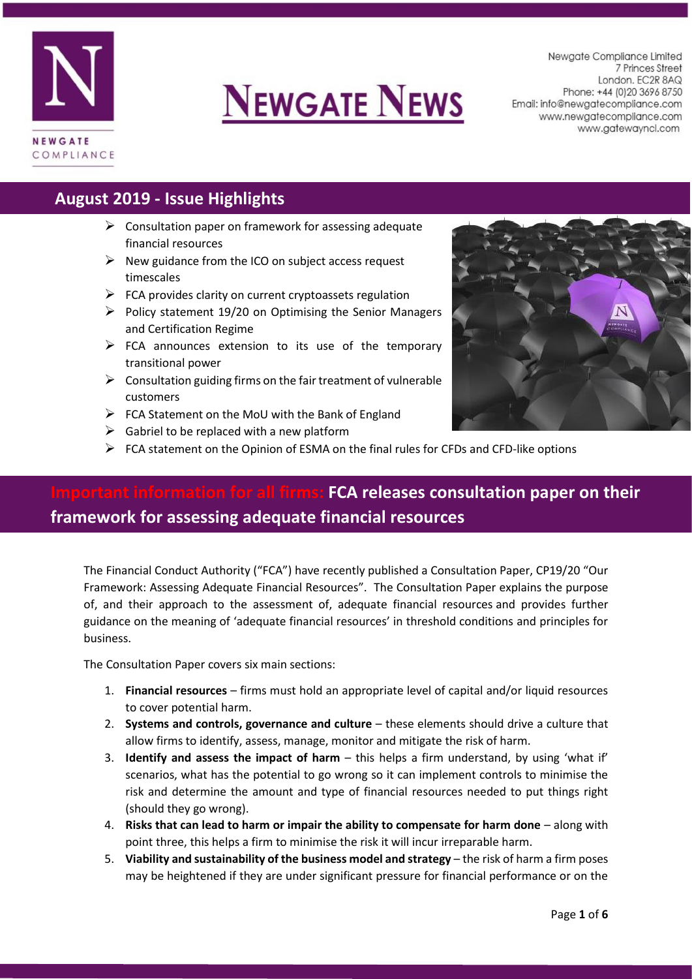

# **NEWGATE NEWS**

Newgate Compliance Limited 7 Princes Street London. EC2R 8AQ Phone: +44 (0) 20 3696 8750 Email: info@newgatecompliance.com www.newgatecompliance.com www.gatewayncl.com

# **August 2019 - Issue Highlights**

- $\triangleright$  Consultation paper on framework for assessing adequate financial resources
- $\triangleright$  New guidance from the ICO on subject access request timescales
- $\triangleright$  FCA provides clarity on current cryptoassets regulation
- $\triangleright$  Policy statement 19/20 on Optimising the Senior Managers and Certification Regime
- $\triangleright$  FCA announces extension to its use of the temporary transitional power
- $\triangleright$  Consultation guiding firms on the fair treatment of vulnerable customers
- $\triangleright$  FCA Statement on the MoU with the Bank of England
- $\triangleright$  Gabriel to be replaced with a new platform
- $\triangleright$  FCA statement on the Opinion of ESMA on the final rules for CFDs and CFD-like options

# **Information for all firms: FCA releases consultation paper on their framework for assessing adequate financial resources**

The Financial Conduct Authority ("FCA") have recently published a Consultation Paper, CP19/20 "Our Framework: Assessing Adequate Financial Resources". The Consultation Paper explains the purpose of, and their approach to the assessment of, adequate financial resources and provides further guidance on the meaning of 'adequate financial resources' in threshold conditions and principles for business.

The Consultation Paper covers six main sections:

- 1. **Financial resources** firms must hold an appropriate level of capital and/or liquid resources to cover potential harm.
- 2. **Systems and controls, governance and culture** these elements should drive a culture that allow firms to identify, assess, manage, monitor and mitigate the risk of harm.
- 3. **Identify and assess the impact of harm** this helps a firm understand, by using 'what if' scenarios, what has the potential to go wrong so it can implement controls to minimise the risk and determine the amount and type of financial resources needed to put things right (should they go wrong).
- 4. **Risks that can lead to harm or impair the ability to compensate for harm done** along with point three, this helps a firm to minimise the risk it will incur irreparable harm.
- 5. **Viability and sustainability of the business model and strategy** the risk of harm a firm poses may be heightened if they are under significant pressure for financial performance or on the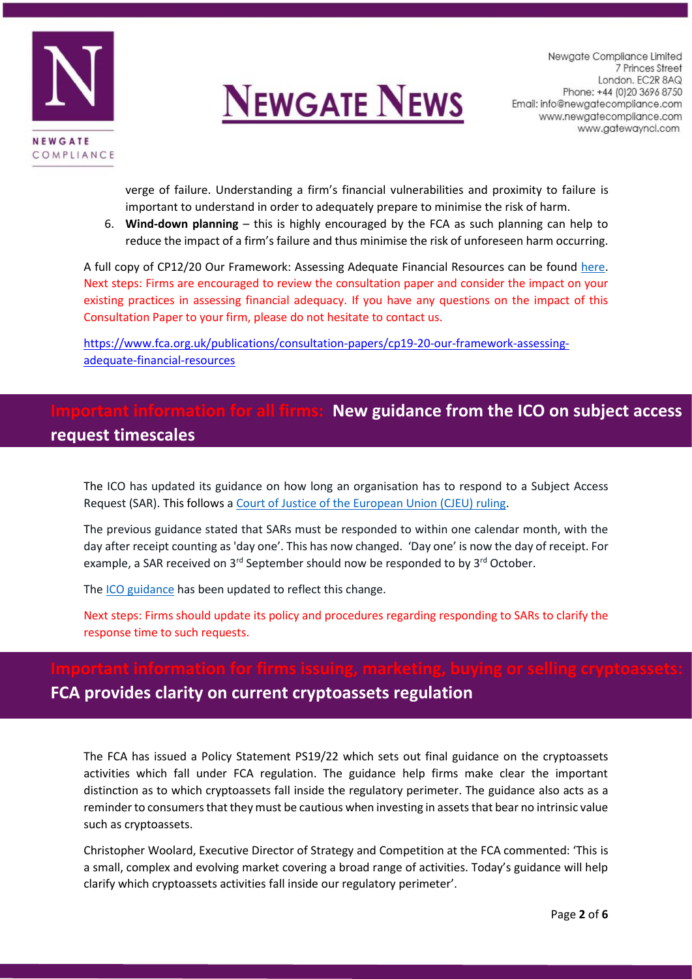



verge of failure. Understanding a firm's financial vulnerabilities and proximity to failure is important to understand in order to adequately prepare to minimise the risk of harm.

6. **Wind-down planning** – this is highly encouraged by the FCA as such planning can help to reduce the impact of a firm's failure and thus minimise the risk of unforeseen harm occurring.

A full copy of CP12/20 Our Framework: Assessing Adequate Financial Resources can be found [here.](https://www.fca.org.uk/publication/consultation/cp19-20.pdf) Next steps: Firms are encouraged to review the consultation paper and consider the impact on your existing practices in assessing financial adequacy. If you have any questions on the impact of this Consultation Paper to your firm, please do not hesitate to contact us.

[https://www.fca.org.uk/publications/consultation-papers/cp19-20-our-framework-assessing](https://www.fca.org.uk/publications/consultation-papers/cp19-20-our-framework-assessing-adequate-financial-resources)[adequate-financial-resources](https://www.fca.org.uk/publications/consultation-papers/cp19-20-our-framework-assessing-adequate-financial-resources)

# **Ion for all firms: New guidance from the ICO on subject access request timescales**

The ICO has updated its guidance on how long an organisation has to respond to a Subject Access Request (SAR). This follows a [Court of Justice of the European Union \(CJEU\) ruling.](http://newsletter.ico.org.uk/c/17z7HLe9IppycRaGwHlWtGUW)

The previous guidance stated that SARs must be responded to within one calendar month, with the day after receipt counting as 'day one'. This has now changed. 'Day one' is now the day of receipt. For example, a SAR received on  $3<sup>rd</sup>$  September should now be responded to by  $3<sup>rd</sup>$  October.

The [ICO guidance](https://ico.org.uk/for-organisations/guide-to-data-protection/whats-new/) has been updated to reflect this change.

Next steps: Firms should update its policy and procedures regarding responding to SARs to clarify the response time to such requests.

# **FCA provides clarity on current cryptoassets regulation**

The FCA has issued a Policy Statement PS19/22 which sets out final guidance on the cryptoassets activities which fall under FCA regulation. The guidance help firms make clear the important distinction as to which cryptoassets fall inside the regulatory perimeter. The guidance also acts as a reminder to consumers that they must be cautious when investing in assets that bear no intrinsic value such as cryptoassets.

Christopher Woolard, Executive Director of Strategy and Competition at the FCA commented: 'This is a small, complex and evolving market covering a broad range of activities. Today's guidance will help clarify which cryptoassets activities fall inside our regulatory perimeter'.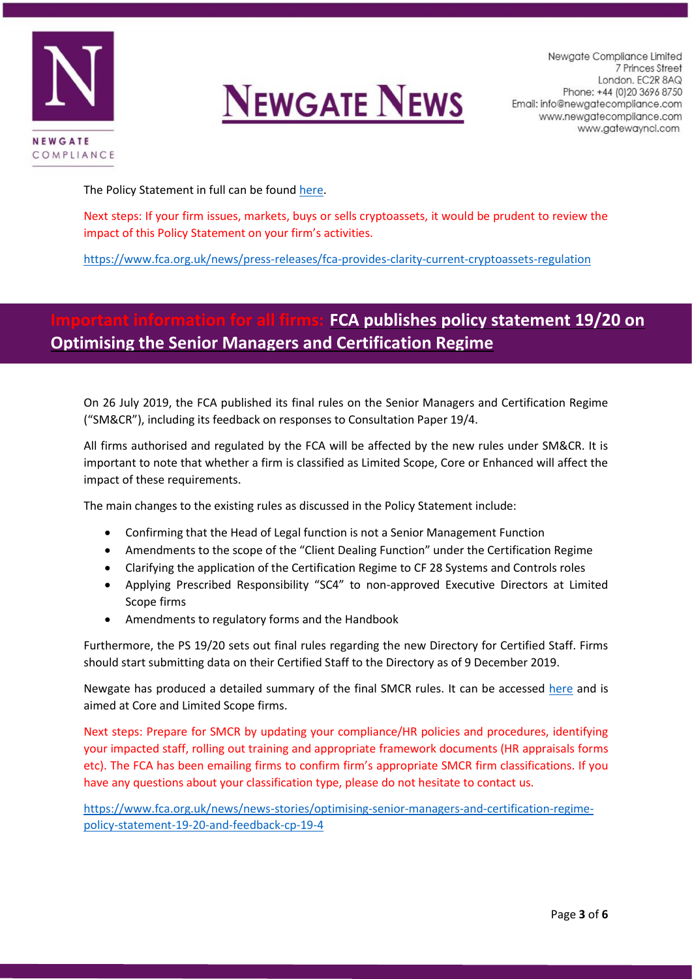



Newgate Compliance Limited 7 Princes Street London. EC2R 8AQ Phone: +44 (0) 20 3696 8750 Email: info@newgatecompliance.com www.newgatecompliance.com www.gatewayncl.com

The Policy Statement in full can be foun[d here.](https://www.fca.org.uk/publication/policy/ps19-22.pdf)

Next steps: If your firm issues, markets, buys or sells cryptoassets, it would be prudent to review the impact of this Policy Statement on your firm's activities.

<https://www.fca.org.uk/news/press-releases/fca-provides-clarity-current-cryptoassets-regulation>

# **FCA publishes policy statement 19/20 on Optimising the Senior Managers and Certification Regime**

On 26 July 2019, the FCA published its final rules on the Senior Managers and Certification Regime ("SM&CR"), including its feedback on responses to Consultation Paper 19/4.

All firms authorised and regulated by the FCA will be affected by the new rules under SM&CR. It is important to note that whether a firm is classified as Limited Scope, Core or Enhanced will affect the impact of these requirements.

The main changes to the existing rules as discussed in the Policy Statement include:

- Confirming that the Head of Legal function is not a Senior Management Function
- Amendments to the scope of the "Client Dealing Function" under the Certification Regime
- Clarifying the application of the Certification Regime to CF 28 Systems and Controls roles
- Applying Prescribed Responsibility "SC4" to non-approved Executive Directors at Limited Scope firms
- Amendments to regulatory forms and the Handbook

Furthermore, the PS 19/20 sets out final rules regarding the new Directory for Certified Staff. Firms should start submitting data on their Certified Staff to the Directory as of 9 December 2019.

Newgate has produced a detailed summary of the final SMCR rules. It can be accessed [here](http://newgatecompliance.com/downloader/OGMxODQ5Y2UxM2NjM2M3MjNmNDNmZmRlOTM3NGVmMjaRF8AoGik4ZdTZ7p7pdgcLa1NMUk9BemdZTGNPNXViSkVzN3B6Y0p2a1hwMmx6OUQ4ck5UVDJiSmxyc25JSHZTc05MbkJHeHpzRWo0SGhqTQ) and is aimed at Core and Limited Scope firms.

Next steps: Prepare for SMCR by updating your compliance/HR policies and procedures, identifying your impacted staff, rolling out training and appropriate framework documents (HR appraisals forms etc). The FCA has been emailing firms to confirm firm's appropriate SMCR firm classifications. If you have any questions about your classification type, please do not hesitate to contact us.

[https://www.fca.org.uk/news/news-stories/optimising-senior-managers-and-certification-regime](https://www.fca.org.uk/news/news-stories/optimising-senior-managers-and-certification-regime-policy-statement-19-20-and-feedback-cp-19-4)[policy-statement-19-20-and-feedback-cp-19-4](https://www.fca.org.uk/news/news-stories/optimising-senior-managers-and-certification-regime-policy-statement-19-20-and-feedback-cp-19-4)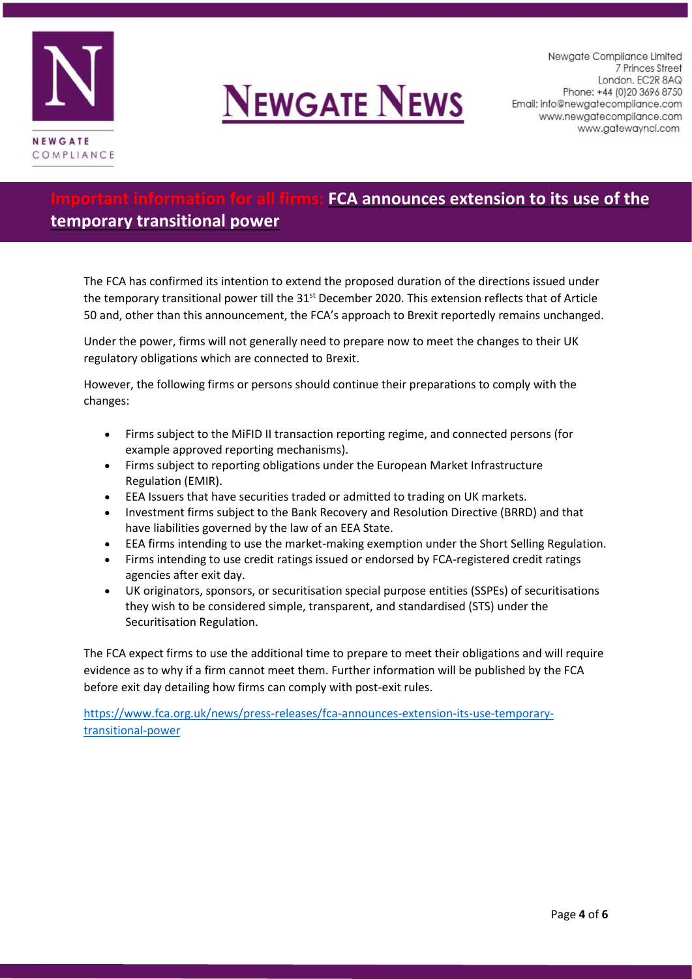



Newgate Compliance Limited 7 Princes Street London. EC2R 8AQ Phone: +44 (0) 20 3696 8750 Email: info@newgatecompliance.com www.newgatecompliance.com www.gatewayncl.com

### **IFCA announces extension to its use of the**

### **temporary transitional power**

The FCA has confirmed its intention to extend the proposed duration of the directions issued under the temporary transitional power till the 31<sup>st</sup> December 2020. This extension reflects that of Article 50 and, other than this announcement, the FCA's approach to Brexit reportedly remains unchanged.

Under the power, firms will not generally need to prepare now to meet the changes to their UK regulatory obligations which are connected to Brexit.

However, the following firms or persons should continue their preparations to comply with the changes:

- Firms subject to the MiFID II transaction reporting regime, and connected persons (for example approved reporting mechanisms).
- Firms subject to reporting obligations under the European Market Infrastructure Regulation (EMIR).
- EEA Issuers that have securities traded or admitted to trading on UK markets.
- Investment firms subject to the Bank Recovery and Resolution Directive (BRRD) and that have liabilities governed by the law of an EEA State.
- EEA firms intending to use the market-making exemption under the Short Selling Regulation.
- Firms intending to use credit ratings issued or endorsed by FCA-registered credit ratings agencies after exit day.
- UK originators, sponsors, or securitisation special purpose entities (SSPEs) of securitisations they wish to be considered simple, transparent, and standardised (STS) under the Securitisation Regulation.

The FCA expect firms to use the additional time to prepare to meet their obligations and will require evidence as to why if a firm cannot meet them. Further information will be published by the FCA before exit day detailing how firms can comply with post-exit rules.

[https://www.fca.org.uk/news/press-releases/fca-announces-extension-its-use-temporary](https://www.fca.org.uk/news/press-releases/fca-announces-extension-its-use-temporary-transitional-power)[transitional-power](https://www.fca.org.uk/news/press-releases/fca-announces-extension-its-use-temporary-transitional-power)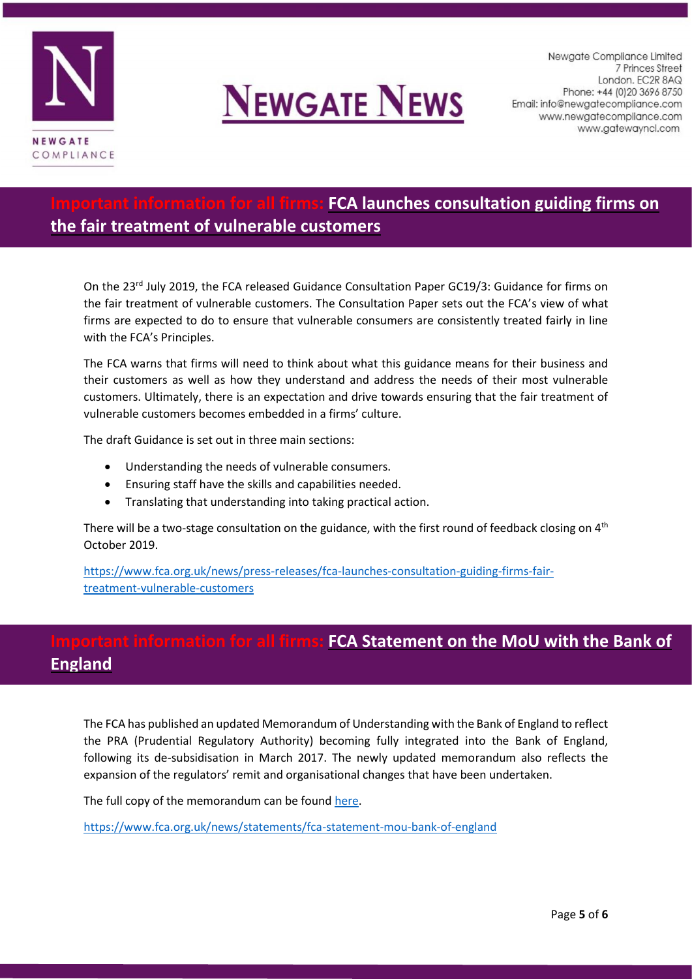



Newgate Compliance Limited 7 Princes Street London. EC2R 8AQ Phone: +44 (0) 20 3696 8750 Email: info@newgatecompliance.com www.newgatecompliance.com www.gatewayncl.com

## **Important information for all firms: FCA launches consultation guiding firms on the fair treatment of vulnerable customers**

On the 23<sup>rd</sup> July 2019, the FCA released Guidance Consultation Paper GC19/3: Guidance for firms on the fair treatment of vulnerable customers. The Consultation Paper sets out the FCA's view of what firms are expected to do to ensure that vulnerable consumers are consistently treated fairly in line with the FCA's Principles.

The FCA warns that firms will need to think about what this guidance means for their business and their customers as well as how they understand and address the needs of their most vulnerable customers. Ultimately, there is an expectation and drive towards ensuring that the fair treatment of vulnerable customers becomes embedded in a firms' culture.

The draft Guidance is set out in three main sections:

- Understanding the needs of vulnerable consumers.
- Ensuring staff have the skills and capabilities needed.
- Translating that understanding into taking practical action.

There will be a two-stage consultation on the guidance, with the first round of feedback closing on  $4<sup>th</sup>$ October 2019.

[https://www.fca.org.uk/news/press-releases/fca-launches-consultation-guiding-firms-fair](https://www.fca.org.uk/news/press-releases/fca-launches-consultation-guiding-firms-fair-treatment-vulnerable-customers)[treatment-vulnerable-customers](https://www.fca.org.uk/news/press-releases/fca-launches-consultation-guiding-firms-fair-treatment-vulnerable-customers)

# **For all firms: FCA Statement on the MoU with the Bank of England**

The FCA has published an updated Memorandum of Understanding with the Bank of England to reflect the PRA (Prudential Regulatory Authority) becoming fully integrated into the Bank of England, following its de-subsidisation in March 2017. The newly updated memorandum also reflects the expansion of the regulators' remit and organisational changes that have been undertaken.

The full copy of the memorandum can be found [here.](https://www.fca.org.uk/publication/mou/mou-bank-of-england.pdf)

<https://www.fca.org.uk/news/statements/fca-statement-mou-bank-of-england>